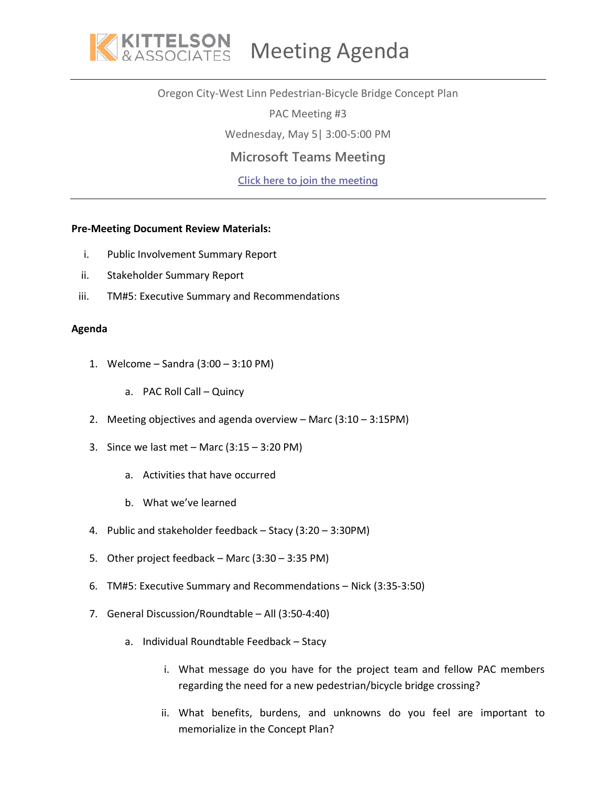

## Oregon City-West Linn Pedestrian-Bicycle Bridge Concept Plan

PAC Meeting #3

Wednesday, May 5| 3:00-5:00 PM

## **Microsoft Teams Meeting**

**[Click here to join the meeting](https://teams.microsoft.com/l/meetup-join/19%3ameeting_NmViMzczZDYtZjkwNS00NDIxLWE3ZjEtODEyZWY3NGM1YmM5%40thread.v2/0?context=%7b%22Tid%22%3a%2214708cc2-2b7d-4b6f-a1e0-ae187d9c4b8a%22%2c%22Oid%22%3a%2283c785ad-0e85-4e89-87dc-aea4444faa8c%22%7d)**

## **Pre-Meeting Document Review Materials:**

- i. Public Involvement Summary Report
- ii. Stakeholder Summary Report
- iii. TM#5: Executive Summary and Recommendations

## **Agenda**

- 1. Welcome Sandra (3:00 3:10 PM)
	- a. PAC Roll Call Quincy
- 2. Meeting objectives and agenda overview Marc (3:10 3:15PM)
- 3. Since we last met Marc  $(3:15 3:20 \text{ PM})$ 
	- a. Activities that have occurred
	- b. What we've learned
- 4. Public and stakeholder feedback Stacy (3:20 3:30PM)
- 5. Other project feedback Marc (3:30 3:35 PM)
- 6. TM#5: Executive Summary and Recommendations Nick (3:35-3:50)
- 7. General Discussion/Roundtable All (3:50-4:40)
	- a. Individual Roundtable Feedback Stacy
		- i. What message do you have for the project team and fellow PAC members regarding the need for a new pedestrian/bicycle bridge crossing?
		- ii. What benefits, burdens, and unknowns do you feel are important to memorialize in the Concept Plan?